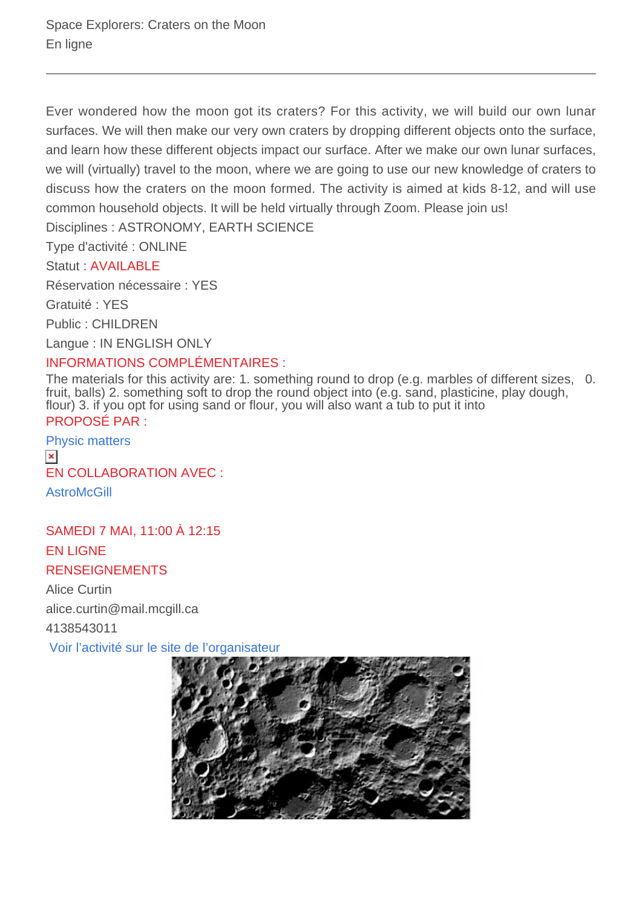Ever wondered how the moon got its craters? For this activity, we will build our own lunar surfaces. We will then make our very own craters by dropping different objects onto the surface, and learn how these different objects impact our surface. After we make our own lunar surfaces, we will (virtually) travel to the moon, where we are going to use our new knowledge of craters to discuss how the craters on the moon formed. The activity is aimed at kids 8-12, and will use common household objects. It will be held virtually through Zoom. Please join us!

Disciplines : ASTRONOMY, EARTH SCIENCE

Type d'activité : ONLINE

Statut : AVAILABLE

Réservation nécessaire : YES

Gratuité : YES

Public : CHILDREN

Langue : IN ENGLISH ONLY

## INFORMATIONS COMPLÉMENTAIRES :

The materials for this activity are: 1. something round to drop (e.g. marbles of different sizes, 0. fruit, balls) 2. something soft to drop the round object into (e.g. sand, plasticine, play dough, flour) 3. if you opt for using sand or flour, you will also want a tub to put it into PROPOSÉ PAR :

[Physic matters](https://physicsmatters.physics.mcgill.ca/)  $\pmb{\times}$ EN COLLABORATION AVEC : **AstroMcGill** 

SAMEDI 7 MAI, 11:00 À 12:15 EN LIGNE RENSEIGNEMENTS

Alice Curtin alice.curtin@mail.mcgill.ca 4138543011

 [Voir l'activité sur le site de l'organisateur](https://forms.office.com/r/610A0x0tC8)